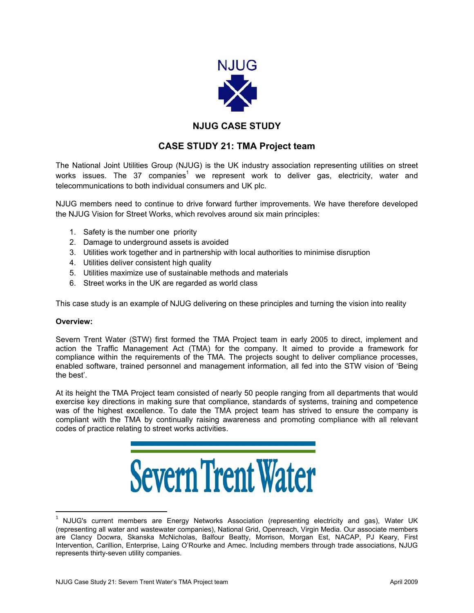

## **NJUG CASE STUDY**

## **CASE STUDY 21: TMA Project team**

The National Joint Utilities Group (NJUG) is the UK industry association representing utilities on street works issues. The 37 companies<sup>1</sup> we represent work to deliver gas, electricity, water and telecommunications to both individual consumers and UK plc.

NJUG members need to continue to drive forward further improvements. We have therefore developed the NJUG Vision for Street Works, which revolves around six main principles:

- 1. Safety is the number one priority
- 2. Damage to underground assets is avoided
- 3. Utilities work together and in partnership with local authorities to minimise disruption
- 4. Utilities deliver consistent high quality
- 5. Utilities maximize use of sustainable methods and materials
- 6. Street works in the UK are regarded as world class

This case study is an example of NJUG delivering on these principles and turning the vision into reality

## **Overview:**

 $\overline{\phantom{a}}$ 

Severn Trent Water (STW) first formed the TMA Project team in early 2005 to direct, implement and action the Traffic Management Act (TMA) for the company. It aimed to provide a framework for compliance within the requirements of the TMA. The projects sought to deliver compliance processes, enabled software, trained personnel and management information, all fed into the STW vision of 'Being the best'.

At its height the TMA Project team consisted of nearly 50 people ranging from all departments that would exercise key directions in making sure that compliance, standards of systems, training and competence was of the highest excellence. To date the TMA project team has strived to ensure the company is compliant with the TMA by continually raising awareness and promoting compliance with all relevant codes of practice relating to street works activities.



<sup>&</sup>lt;sup>1</sup> NJUG's current members are Energy Networks Association (representing electricity and gas), Water UK (representing all water and wastewater companies), National Grid, Openreach, Virgin Media. Our associate members are Clancy Docwra, Skanska McNicholas, Balfour Beatty, Morrison, Morgan Est, NACAP, PJ Keary, First Intervention, Carillion, Enterprise, Laing O'Rourke and Amec. Including members through trade associations, NJUG represents thirty-seven utility companies.